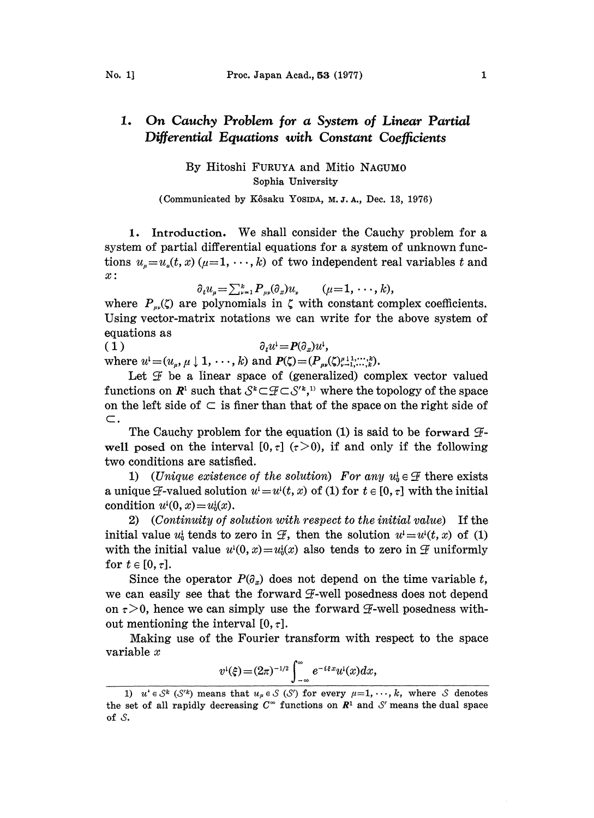## 1. On Cauchy Problem for a System of Linear Partial Differential Equations with Constant Coefficients

By Hitoshi FURUYA and Mitio NAGUM0 Sophia University

(Communicated by Kôsaku Yosipa, M.J.A., Dec. 13, 1976)

1. Introduction. We shall consider the Cauchy problem for a system of partial differential equations for a system of unknown functions  $u_{\mu} = u_{\mu}(t, x)$  ( $\mu = 1, \dots, k$ ) of two independent real variables t and x:

$$
\partial_t u_{\mu} = \sum_{\nu=1}^k P_{\mu\nu} (\partial_x) u_{\nu} \qquad (\mu = 1, \cdots, k),
$$

where  $P_{\mu\nu}(\zeta)$  are polynomials in  $\zeta$  with constant complex coefficients. Using vector-matrix notations we can write for the above system of equations as

( 1 )  $\partial_t u^1 = P(\partial_x) u^1$ , where  $u^{\text{!`}} = (u_{\mu}, \mu \downarrow 1, \cdots, k)$  and  $P(\zeta) = (P_{\mu\nu}(\zeta)_{\nu-1}^{\mu} \cdots, \zeta_{\nu}^k)$ .

Let  $\mathcal F$  be a linear space of (generalized) complex vector valued functions on  $\mathbb{R}^1$  such that  $\mathcal{S}^k \subset \mathcal{F} \subset \mathcal{S}'^k$ ,<sup>1)</sup> where the topology of the space on the left side of  $\subset$  is finer than that of the space on the right side of  $\subset.$ 

The Cauchy problem for the equation (1) is said to be forward  $\mathcal{F}$ well posed on the interval  $[0, \tau]$  ( $\tau > 0$ ), if and only if the following two conditions are satisfied.

a unique F-valued solution  $u'=u'(t,x)$  of (1) for  $t \in [0,\tau]$  with the initial conditions are satisfied.<br>1) (Unique existence of the solution) For any  $u_0^1 \in \mathcal{F}$  there exists condition  $u^{\mu}(0, x) = u_0^{\mu}(x)$ .

2) (Continuity of solution with respect to the initial value) If the initial value  $u_0^i$  tends to zero in  $\mathcal{F}$ , then the solution  $u^i=u^i(t, x)$  of (1) with the initial value  $u^{\mu}(0, x) = u_0^{\mu}(x)$  also tends to zero in  $\mathcal{F}$  uniformly for  $t \in [0, \tau]$ .

Since the operator  $P(\partial_x)$  does not depend on the time variable t, we can easily see that the forward  $\mathcal{F}\text{-well}$  posedness does not depend on  $\tau>0$ , hence we can simply use the forward  $\mathcal{F}\text{-well}$  posedness without mentioning the interval  $[0, \tau]$ .

Making use of the Fourier transform with respect to the space variable x

$$
v^{\mathfrak{l}}(\xi) = (2\pi)^{-1/2} \int_{-\infty}^{\infty} e^{-i\xi x} u^{\mathfrak{l}}(x) dx,
$$

<sup>1)</sup>  $u^* \in \mathcal{S}^k$  ( $\mathcal{S}'^k$ ) means that  $u_{\mu} \in \mathcal{S}$  ( $\mathcal{S}'$ ) for every  $\mu=1, \dots, k$ , where  $\mathcal S$  denotes the set of all rapidly decreasing  $C^{\infty}$  functions on  $\mathbb{R}^{1}$  and S' means the dual space of 3.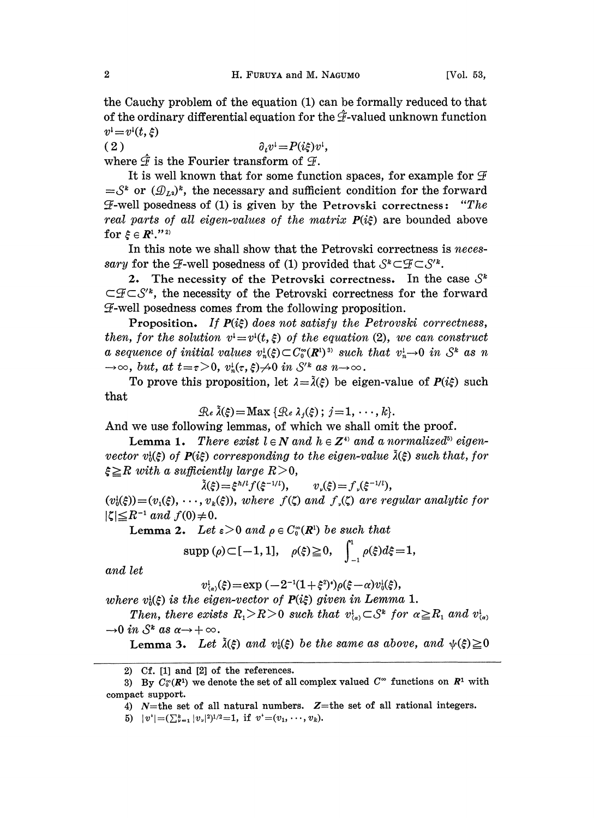the Cauchy problem of the equation (1) can be formally reduced to that of the ordinary differential equation for the  $\hat{\mathcal{F}}$ -valued unknown function  $v^{\mathfrak{t}}=v^{\mathfrak{t}}(t,\xi)$ 

( 2 )  $\partial_t v^1 = P(i\xi)v^1,$ where  $\hat{\mathcal{F}}$  is the Fourier transform of  $\mathcal{F}$ .

It is well known that for some function spaces, for example for  $\mathcal F$  $=S^k$  or  $(\mathcal{D}_{L^2})^k$ , the necessary and sufficient condition for the forward  $\tilde{H}$ -well posedness of (1) is given by the Petrovski correctness: "The real parts of all eigen-values of the matrix  $P(i\xi)$  are bounded a  $\mathcal F\text{-well posedness of (1) is given by the Petrovski correctness: ``The}$ real parts of all eigen-values of the matrix  $P(i\xi)$  are bounded above for  $\xi \in \mathbb{R}^1$ ."<sup>2)</sup>

In this note we shall show that the Petrovski correctness is *neces*sary for the  $\mathcal{F}$ -well posedness of (1) provided that  $\mathcal{S}^* \subset \mathcal{F} \subset \mathcal{S}'^*$ .

2. The necessity of the Petrovski correctness. In the case  $S^k$  $\subset \mathcal{F} \subset \mathcal{S}'^*$ , the necessity of the Petrovski correctness for the forward  $F$ -well posedness comes from the following proposition.

**Proposition.** If  $P(i\xi)$  does not satisfy the Petrovski correctness, then, for the solution  $v^1 = v^1(t, \xi)$  of the equation (2), we can construct a sequence of initial values  $v_n^1(\xi) \subset C_0^{\infty}(\mathbb{R}^n)^{3}$  such that  $v_n^1 \to 0$  in  $\mathcal{S}^k$  as n  $\rightarrow \infty$ , but, at  $t = \tau > 0$ ,  $v_n^1(\tau, \xi) \not\rightarrow 0$  in  $S'^k$  as  $n \rightarrow \infty$ .

To prove this proposition, let  $\lambda = \tilde{\lambda}(\xi)$  be eigen-value of  $P(i\xi)$  such that

 $\mathcal{R}_e \tilde{\lambda}(\xi) = \text{Max} \{ \mathcal{R}_e \lambda_i(\xi) ; j = 1, \dots, k \}.$ 

And we use following lemmas, of which we shall omit the proof.

Lemma 1. There exist  $l \in \mathbb{N}$  and  $h \in \mathbb{Z}^{4}$  and a normalized<sup>5</sup> eigenvector  $v_0^1(\xi)$  of  $P(i\xi)$  corresponding to the eigen-value  $\tilde{\lambda}(\xi)$  such that, for  $\xi \geq R$  with a sufficiently large  $R > 0$ ,<br> $\tilde{\lambda}(\xi) = \xi^{h/l} f(\xi^{-1/l})$ ,

 $v_{y}(\xi) = f_{y}(\xi^{-1/l}),$ 

 $(v_i^1(\xi))=(v_1(\xi), \dots, v_k(\xi)),$  where  $f(\zeta)$  and  $f(\zeta)$  are regular analytic for  $|\zeta| \leq R^{-1}$  and  $f(0) \neq 0$ .  $R^{-1}$  and  $f(0) \neq 0$ .<br>Lemma 2. Let  $\varepsilon \geq 0$  and  $\rho \in C_0^{\infty}({I\!\!R}^1)$  be such that

$$
\text{supp } (\rho) \subset [-1, 1], \quad \rho(\xi) \geq 0, \quad \int_{-1}^{1} \rho(\xi) d\xi = 1,
$$

and let

 $v_{(a)}^{\dagger}(\xi) = \exp(-2^{-1}(1+\xi^2)^{s})\rho(\xi-\alpha)v_0^{\dagger}(\xi),$ 

where  $v_i(\xi)$  is the eigen-vector of  $P(i\xi)$  given in Lemma 1.

Then, there exists  $R_1 > R > 0$  such that  $v_{\alpha}^1 \subset S^k$  for  $\alpha \ge R_1$  and  $v_{\alpha}^1$ .  $\rightarrow 0$  in  $S^k$  as  $\alpha \rightarrow +\infty$ .

**Lemma 3.** Let  $\tilde{\lambda}(\xi)$  and  $v_{0}(\xi)$  be the same as above, and  $\psi(\xi) \geq 0$ 

<sup>2)</sup> Cf. [1] and [2] of the references

<sup>3)</sup> By  $C_0^{\infty}(R^1)$  we denote the set of all complex valued  $C^{\infty}$  functions on  $R^1$  with compact support.

<sup>4)</sup> N=the set of all natural numbers. Z=the set of all rational integers.

<sup>5)</sup>  $|v^*| = (\sum_{\nu=1}^k |v_\nu|^2)^{1/2} = 1$ , if  $v^* = (v_1, \ldots, v_k)$ .